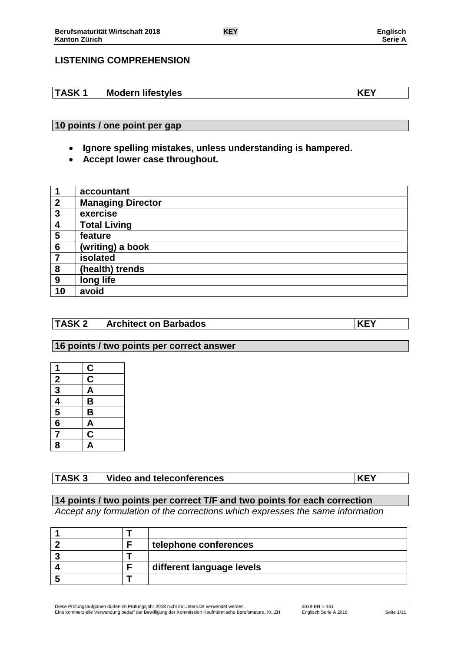## **LISTENING COMPREHENSION**

### **TASK 1 Modern lifestyles KEY**

### **10 points / one point per gap**

- **Ignore spelling mistakes, unless understanding is hampered.**
- **Accept lower case throughout.**

|                | accountant               |
|----------------|--------------------------|
| $\overline{2}$ | <b>Managing Director</b> |
| 3              | exercise                 |
| 4              | <b>Total Living</b>      |
| 5              | feature                  |
| 6              | (writing) a book         |
| 7              | isolated                 |
| 8              | (health) trends          |
| 9              | long life                |
| 10             | avoid                    |

### **TASK 2 Architect on Barbados KEY**

#### **16 points / two points per correct answer**

| 1                                                       |               |
|---------------------------------------------------------|---------------|
|                                                         | $\frac{c}{c}$ |
| $\frac{2}{3}$ $\frac{4}{5}$ $\frac{5}{6}$ $\frac{6}{7}$ |               |
|                                                         | $\frac{A}{B}$ |
|                                                         |               |
|                                                         |               |
|                                                         | $\frac{A}{C}$ |
| $\overline{\mathbf{8}}$                                 |               |

## **TASK 3 Video and teleconferences KEY**

### **14 points / two points per correct T/F and two points for each correction**

*Accept any formulation of the corrections which expresses the same information*

|  | telephone conferences     |
|--|---------------------------|
|  |                           |
|  | different language levels |
|  |                           |

Diese Prüfungsaufgaben dürfen im Prüfungsjahr 2018 nicht im Unterricht verwendet werden. 2018-EN-1-151 Eine kommerzielle Verwendung bedarf der Bewilligung der Kommission Kaufmännische Berufsmatura, Kt. ZH. Englisch Serie A 2018 Seite 1/11

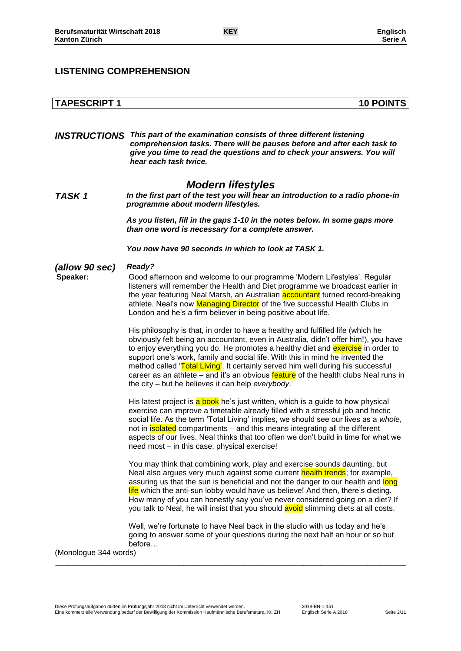## **TAPESCRIPT 1 10 POINTS**

*INSTRUCTIONS This part of the examination consists of three different listening comprehension tasks. There will be pauses before and after each task to give you time to read the questions and to check your answers. You will hear each task twice.*

## *Modern lifestyles*

*TASK 1 In the first part of the test you will hear an introduction to a radio phone-in programme about modern lifestyles.*

> *As you listen, fill in the gaps 1-10 in the notes below. In some gaps more than one word is necessary for a complete answer.*

*You now have 90 seconds in which to look at TASK 1.*

#### *(allow 90 sec) Ready?*

**Speaker:** Good afternoon and welcome to our programme 'Modern Lifestyles'. Regular listeners will remember the Health and Diet programme we broadcast earlier in the year featuring Neal Marsh, an Australian accountant turned record-breaking athlete. Neal's now Managing Director of the five successful Health Clubs in London and he's a firm believer in being positive about life.

> His philosophy is that, in order to have a healthy and fulfilled life (which he obviously felt being an accountant, even in Australia, didn't offer him!), you have to enjoy everything you do. He promotes a healthy diet and **exercise** in order to support one's work, family and social life. With this in mind he invented the method called 'Total Living'. It certainly served him well during his successful career as an athlete – and it's an obvious feature of the health clubs Neal runs in the city – but he believes it can help *everybody*.

> His latest project is a book he's just written, which is a guide to how physical exercise can improve a timetable already filled with a stressful job and hectic social life. As the term 'Total Living' implies, we should see our lives as a *whole*, not in **isolated** compartments – and this means integrating all the different aspects of our lives. Neal thinks that too often we don't build in time for what we need most – in this case, physical exercise!

You may think that combining work, play and exercise sounds daunting, but Neal also argues very much against some current health trends; for example, assuring us that the sun is beneficial and not the danger to our health and long life which the anti-sun lobby would have us believe! And then, there's dieting. How many of you can honestly say you've never considered going on a diet? If you talk to Neal, he will insist that you should avoid slimming diets at all costs.

Well, we're fortunate to have Neal back in the studio with us today and he's going to answer some of your questions during the next half an hour or so but before…

\_\_\_\_\_\_\_\_\_\_\_\_\_\_\_\_\_\_\_\_\_\_\_\_\_\_\_\_\_\_\_\_\_\_\_\_\_\_\_\_\_\_\_\_\_\_\_\_\_\_\_\_\_\_\_\_\_\_\_\_\_\_\_\_\_\_\_\_\_\_\_\_\_\_\_\_\_\_\_\_\_\_

(Monologue 344 words)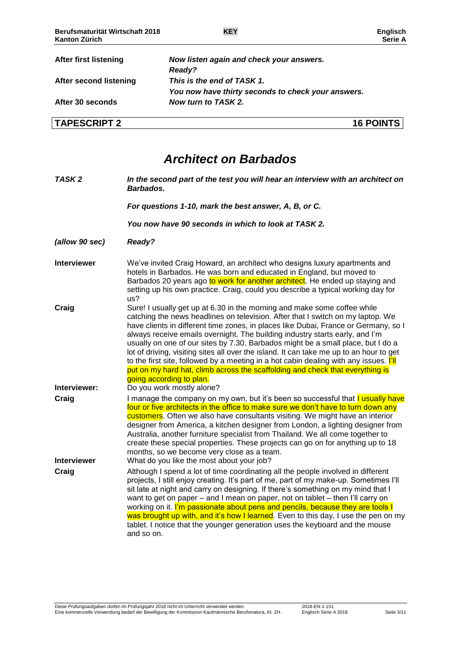| <b>After first listening</b> | Now listen again and check your answers.           |
|------------------------------|----------------------------------------------------|
|                              | Ready?                                             |
| After second listening       | This is the end of TASK 1.                         |
|                              | You now have thirty seconds to check your answers. |
| After 30 seconds             | Now turn to TASK 2.                                |
| <b>TAPESCRIPT 2</b>          | <b>16 POINTS</b>                                   |

# *Architect on Barbados*

| TASK <sub>2</sub>           | In the second part of the test you will hear an interview with an architect on<br>Barbados.                                                                                                                                                                                                                                                                                                                                                                                                                                                                                                                                                                                                                             |
|-----------------------------|-------------------------------------------------------------------------------------------------------------------------------------------------------------------------------------------------------------------------------------------------------------------------------------------------------------------------------------------------------------------------------------------------------------------------------------------------------------------------------------------------------------------------------------------------------------------------------------------------------------------------------------------------------------------------------------------------------------------------|
|                             | For questions 1-10, mark the best answer, A, B, or C.                                                                                                                                                                                                                                                                                                                                                                                                                                                                                                                                                                                                                                                                   |
|                             | You now have 90 seconds in which to look at TASK 2.                                                                                                                                                                                                                                                                                                                                                                                                                                                                                                                                                                                                                                                                     |
| (allow 90 sec)              | Ready?                                                                                                                                                                                                                                                                                                                                                                                                                                                                                                                                                                                                                                                                                                                  |
| <b>Interviewer</b>          | We've invited Craig Howard, an architect who designs luxury apartments and<br>hotels in Barbados. He was born and educated in England, but moved to<br>Barbados 20 years ago to work for another architect. He ended up staying and<br>setting up his own practice. Craig, could you describe a typical working day for<br>us?                                                                                                                                                                                                                                                                                                                                                                                          |
| Craig                       | Sure! I usually get up at 6.30 in the morning and make some coffee while<br>catching the news headlines on television. After that I switch on my laptop. We<br>have clients in different time zones, in places like Dubai, France or Germany, so I<br>always receive emails overnight. The building industry starts early, and I'm<br>usually on one of our sites by 7.30. Barbados might be a small place, but I do a<br>lot of driving, visiting sites all over the island. It can take me up to an hour to get<br>to the first site, followed by a meeting in a hot cabin dealing with any issues. [II]<br>put on my hard hat, climb across the scaffolding and check that everything is<br>going according to plan. |
| Interviewer:                | Do you work mostly alone?                                                                                                                                                                                                                                                                                                                                                                                                                                                                                                                                                                                                                                                                                               |
| Craig                       | I manage the company on my own, but it's been so successful that I usually have<br>four or five architects in the office to make sure we don't have to turn down any<br>customers. Often we also have consultants visiting. We might have an interior<br>designer from America, a kitchen designer from London, a lighting designer from<br>Australia, another furniture specialist from Thailand. We all come together to<br>create these special properties. These projects can go on for anything up to 18<br>months, so we become very close as a team.                                                                                                                                                             |
| <b>Interviewer</b><br>Craig | What do you like the most about your job?<br>Although I spend a lot of time coordinating all the people involved in different<br>projects, I still enjoy creating. It's part of me, part of my make-up. Sometimes I'll<br>sit late at night and carry on designing. If there's something on my mind that I<br>want to get on paper - and I mean on paper, not on tablet - then I'll carry on<br>working on it. I'm passionate about pens and pencils, because they are tools I<br>was brought up with, and it's how I learned. Even to this day, I use the pen on my<br>tablet. I notice that the younger generation uses the keyboard and the mouse<br>and so on.                                                      |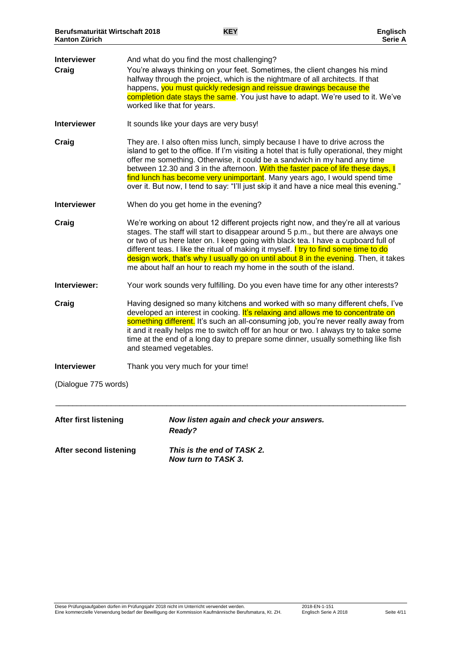| <b>Interviewer</b><br>Craig  | And what do you find the most challenging?<br>You're always thinking on your feet. Sometimes, the client changes his mind<br>halfway through the project, which is the nightmare of all architects. If that<br>happens, you must quickly redesign and reissue drawings because the<br>completion date stays the same. You just have to adapt. We're used to it. We've<br>worked like that for years.                                                                                                                 |
|------------------------------|----------------------------------------------------------------------------------------------------------------------------------------------------------------------------------------------------------------------------------------------------------------------------------------------------------------------------------------------------------------------------------------------------------------------------------------------------------------------------------------------------------------------|
| <b>Interviewer</b>           | It sounds like your days are very busy!                                                                                                                                                                                                                                                                                                                                                                                                                                                                              |
| Craig                        | They are. I also often miss lunch, simply because I have to drive across the<br>island to get to the office. If I'm visiting a hotel that is fully operational, they might<br>offer me something. Otherwise, it could be a sandwich in my hand any time<br>between 12.30 and 3 in the afternoon. With the faster pace of life these days, I<br>find lunch has become very unimportant. Many years ago, I would spend time<br>over it. But now, I tend to say: "I'll just skip it and have a nice meal this evening." |
| <b>Interviewer</b>           | When do you get home in the evening?                                                                                                                                                                                                                                                                                                                                                                                                                                                                                 |
| Craig                        | We're working on about 12 different projects right now, and they're all at various<br>stages. The staff will start to disappear around 5 p.m., but there are always one<br>or two of us here later on. I keep going with black tea. I have a cupboard full of<br>different teas. I like the ritual of making it myself. I try to find some time to do<br>design work, that's why I usually go on until about 8 in the evening. Then, it takes<br>me about half an hour to reach my home in the south of the island.  |
| Interviewer:                 | Your work sounds very fulfilling. Do you even have time for any other interests?                                                                                                                                                                                                                                                                                                                                                                                                                                     |
| Craig                        | Having designed so many kitchens and worked with so many different chefs, I've<br>developed an interest in cooking. It's relaxing and allows me to concentrate on<br>something different. It's such an all-consuming job, you're never really away from<br>it and it really helps me to switch off for an hour or two. I always try to take some<br>time at the end of a long day to prepare some dinner, usually something like fish<br>and steamed vegetables.                                                     |
| <b>Interviewer</b>           | Thank you very much for your time!                                                                                                                                                                                                                                                                                                                                                                                                                                                                                   |
| (Dialogue 775 words)         |                                                                                                                                                                                                                                                                                                                                                                                                                                                                                                                      |
| <b>After first listening</b> | Now listen again and check your answers.<br>Ready?                                                                                                                                                                                                                                                                                                                                                                                                                                                                   |
| After second listening       | This is the end of TASK 2.<br>Now turn to TASK 3.                                                                                                                                                                                                                                                                                                                                                                                                                                                                    |

Diese Prüfungsaufgaben dürfen im Prüfungsjahr 2018 nicht im Unterricht verwendet werden. 2018-EN-1-151 Eine kommerzielle Verwendung bedarf der Bewilligung der Kommission Kaufmännische Berufsmatura, Kt. ZH. Englisch Serie A 2018 Seite 4/11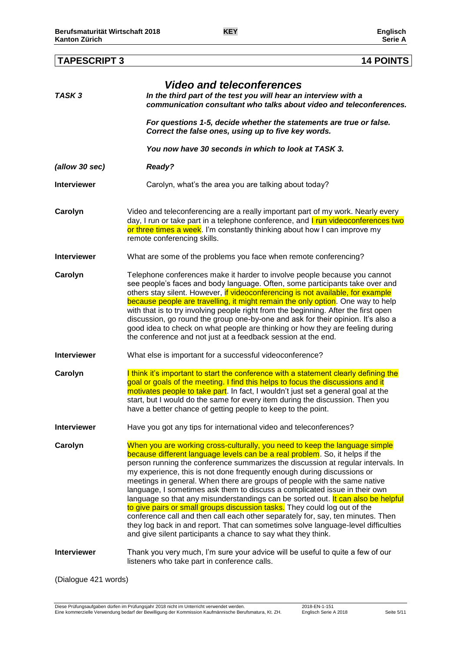*(allow 30 sec) Ready?*

|                    | see people's faces and body language. Often, some participants take over and        |
|--------------------|-------------------------------------------------------------------------------------|
|                    | others stay silent. However, if videoconferencing is not available, for example     |
|                    | because people are travelling, it might remain the only option. One way to help     |
|                    | with that is to try involving people right from the beginning. After the first open |
|                    | discussion, go round the group one-by-one and ask for their opinion. It's also a    |
|                    | good idea to check on what people are thinking or how they are feeling during       |
|                    | the conference and not just at a feedback session at the end.                       |
|                    |                                                                                     |
| <b>Interviewer</b> | What else is important for a successful videoconference?                            |
|                    |                                                                                     |

**Interviewer** What are some of the problems you face when remote conferencing?

**Carolyn** I think it's important to start the conference with a statement clearly defining the goal or goals of the meeting. I find this helps to focus the discussions and it motivates people to take part. In fact, I wouldn't just set a general goal at the start, but I would do the same for every item during the discussion. Then you have a better chance of getting people to keep to the point.

**Interviewer** Have you got any tips for international video and teleconferences?

**Carolyn** When you are working cross-culturally, you need to keep the language simple because different language levels can be a real problem. So, it helps if the person running the conference summarizes the discussion at regular intervals. In my experience, this is not done frequently enough during discussions or meetings in general. When there are groups of people with the same native language, I sometimes ask them to discuss a complicated issue in their own language so that any misunderstandings can be sorted out. It can also be helpful to give pairs or small groups discussion tasks. They could log out of the conference call and then call each other separately for, say, ten minutes. Then they log back in and report. That can sometimes solve language-level difficulties and give silent participants a chance to say what they think.

**Interviewer** Thank you very much, I'm sure your advice will be useful to quite a few of our listeners who take part in conference calls.

(Dialogue 421 words)

#### **TAPESCRIPT 3 14 POINTS**

*Video and teleconferences*

*Correct the false ones, using up to five key words.*

**Carolyn** Video and teleconferencing are a really important part of my work. Nearly every

**Carolyn** Telephone conferences make it harder to involve people because you cannot

*You now have 30 seconds in which to look at TASK 3.*

*communication consultant who talks about video and teleconferences.*

*For questions 1-5, decide whether the statements are true or false.* 

day, I run or take part in a telephone conference, and **I run videoconferences two** or three times a week. I'm constantly thinking about how I can improve my

*TASK 3 In the third part of the test you will hear an interview with a* 

**Interviewer Carolyn, what's the area you are talking about today?** 

remote conferencing skills.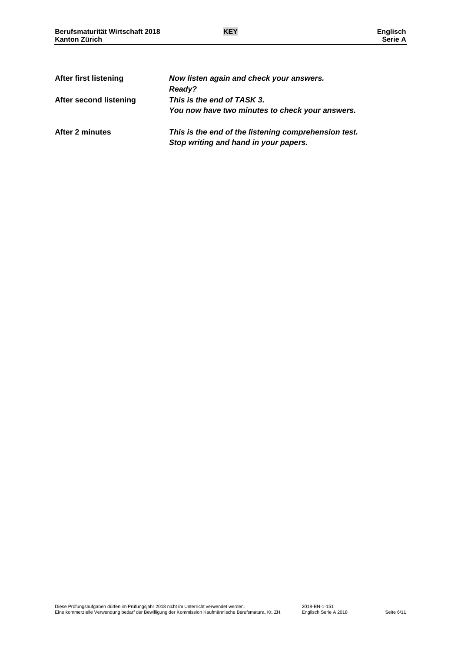| <b>After first listening</b> | Now listen again and check your answers.<br><b>Ready?</b>                                     |
|------------------------------|-----------------------------------------------------------------------------------------------|
| After second listening       | This is the end of TASK 3.<br>You now have two minutes to check your answers.                 |
| After 2 minutes              | This is the end of the listening comprehension test.<br>Stop writing and hand in your papers. |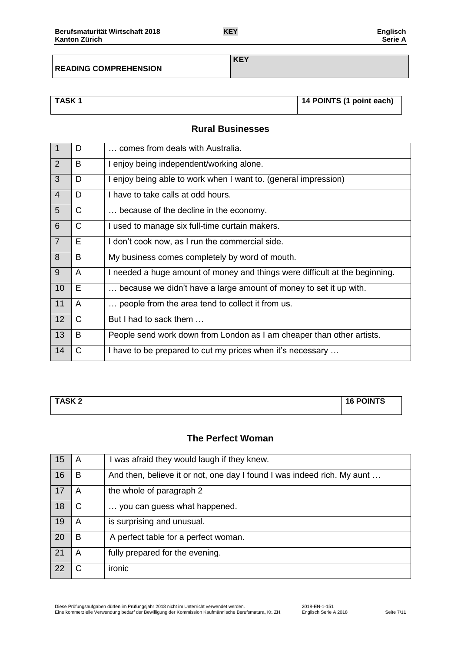**READING COMPREHENSION**

**KEY**

| <b>TASK1</b> | 14 POINTS (1 point each) |
|--------------|--------------------------|
|              |                          |

## **Rural Businesses**

| $\overline{1}$ | D            | comes from deals with Australia.                                            |
|----------------|--------------|-----------------------------------------------------------------------------|
| $\overline{2}$ | B            | I enjoy being independent/working alone.                                    |
| $\overline{3}$ | D            | I enjoy being able to work when I want to. (general impression)             |
| $\overline{4}$ | D            | I have to take calls at odd hours.                                          |
| 5              | C            | because of the decline in the economy.                                      |
| 6              | $\mathsf{C}$ | I used to manage six full-time curtain makers.                              |
| $\overline{7}$ | E            | I don't cook now, as I run the commercial side.                             |
| 8              | B            | My business comes completely by word of mouth.                              |
| $\overline{9}$ | A            | I needed a huge amount of money and things were difficult at the beginning. |
| 10             | Е            | because we didn't have a large amount of money to set it up with.           |
| 11             | A            | people from the area tend to collect it from us.                            |
| 12             | $\mathsf{C}$ | But I had to sack them                                                      |
| 13             | B            | People send work down from London as I am cheaper than other artists.       |
| 14             | С            | I have to be prepared to cut my prices when it's necessary                  |

| <b>TASK2</b> | <b>16 POINTS</b> |
|--------------|------------------|
|              |                  |

## **The Perfect Woman**

| -15 | A | was afraid they would laugh if they knew.                               |
|-----|---|-------------------------------------------------------------------------|
| 16  | B | And then, believe it or not, one day I found I was indeed rich. My aunt |
| 17  | A | the whole of paragraph 2                                                |
| 18  | C | you can guess what happened.                                            |
| 19  | A | is surprising and unusual.                                              |
| 20  | B | A perfect table for a perfect woman.                                    |
| 21  | A | fully prepared for the evening.                                         |
| 22  | C | ironic                                                                  |

Diese Prüfungsaufgaben dürfen im Prüfungsjahr 2018 nicht im Unterricht verwendet werden. 2018-EN-1-151 Eine kommerzielle Verwendung bedarf der Bewilligung der Kommission Kaufmännische Berufsmatura, Kt. ZH. Englisch Serie A 2018 Seite 7/11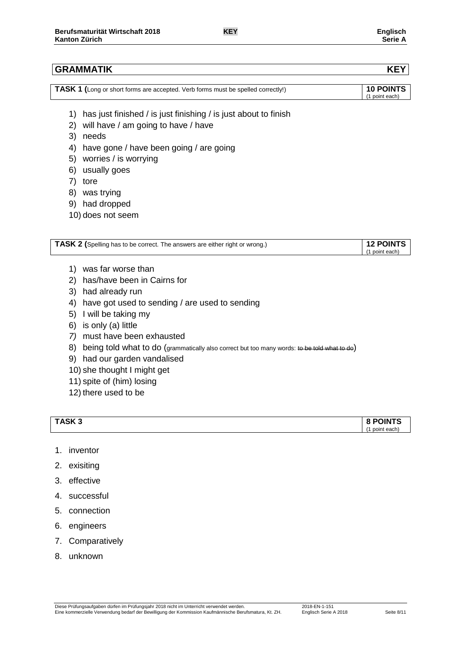#### **GRAMMATIK KEY**

| <b>TASK 1</b> (Long or short forms are accepted. Verb forms must be spelled correctly!) | <b>10 POINTS</b> |
|-----------------------------------------------------------------------------------------|------------------|
|                                                                                         | (1 point each)   |

- 1) has just finished / is just finishing / is just about to finish
- 2) will have / am going to have / have
- 3) needs
- 4) have gone / have been going / are going
- 5) worries / is worrying
- 6) usually goes
- 7) tore
- 8) was trying
- 9) had dropped
- 10) does not seem

| TASK 2 (Spelling has to be correct. The answers are either right or wrong.) | <b>12 POINTS</b> |
|-----------------------------------------------------------------------------|------------------|
|                                                                             | point each)      |
|                                                                             |                  |

- 1) was far worse than
- 2) has/have been in Cairns for
- 3) had already run
- 4) have got used to sending / are used to sending
- 5) I will be taking my
- 6) is only (a) little
- *7)* must have been exhausted
- 8) being told what to do (grammatically also correct but too many words: to be told what to do)
- 9) had our garden vandalised
- 10) she thought I might get
- 11) spite of (him) losing
- 12) there used to be

| TASK <sub>3</sub> | <b>8 POINTS</b>   |
|-------------------|-------------------|
|                   | 74<br>point each) |

- 1. inventor
- 2. exisiting
- 3. effective
- 4. successful
- 5. connection
- 6. engineers
- 7. Comparatively
- 8. unknown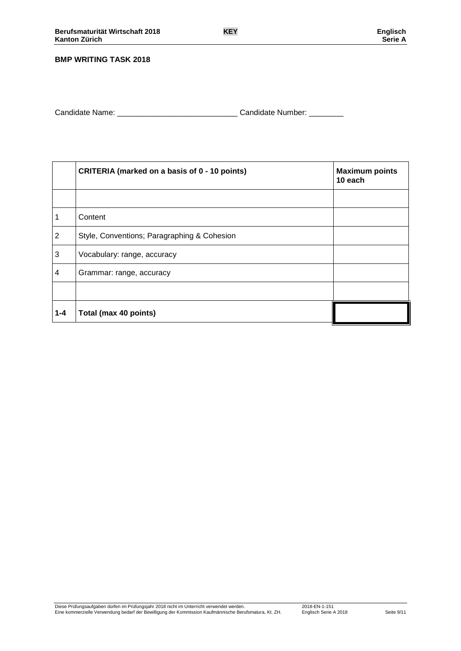#### **BMP WRITING TASK 2018**

Candidate Name: \_\_\_\_\_\_\_\_\_\_\_\_\_\_\_\_\_\_\_\_\_\_\_\_\_\_\_\_ Candidate Number: \_\_\_\_\_\_\_\_

|                | CRITERIA (marked on a basis of 0 - 10 points) | <b>Maximum points</b><br>10 each |  |  |
|----------------|-----------------------------------------------|----------------------------------|--|--|
|                |                                               |                                  |  |  |
| 1              | Content                                       |                                  |  |  |
| $\overline{2}$ | Style, Conventions; Paragraphing & Cohesion   |                                  |  |  |
| 3              | Vocabulary: range, accuracy                   |                                  |  |  |
| 4              | Grammar: range, accuracy                      |                                  |  |  |
|                |                                               |                                  |  |  |
| $1 - 4$        | Total (max 40 points)                         |                                  |  |  |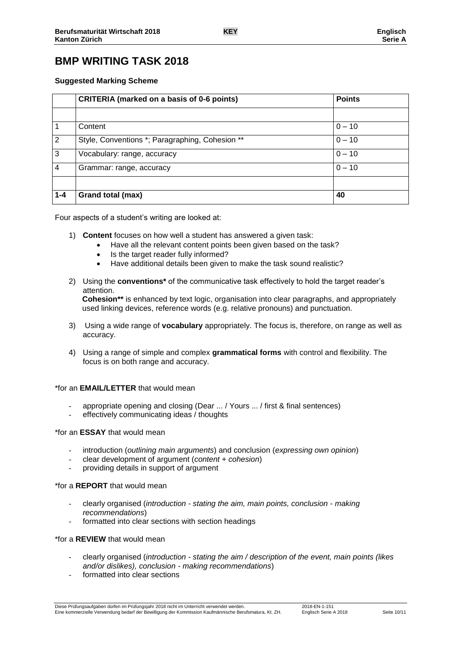## **BMP WRITING TASK 2018**

#### **Suggested Marking Scheme**

|                | <b>CRITERIA (marked on a basis of 0-6 points)</b>           | <b>Points</b> |
|----------------|-------------------------------------------------------------|---------------|
|                |                                                             |               |
|                | Content                                                     | $0 - 10$      |
| $\overline{2}$ | Style, Conventions *; Paragraphing, Cohesion **<br>$0 - 10$ |               |
| 3              | $0 - 10$<br>Vocabulary: range, accuracy                     |               |
| 4              | $0 - 10$<br>Grammar: range, accuracy                        |               |
|                |                                                             |               |
| $1 - 4$        | Grand total (max)                                           | 40            |

Four aspects of a student's writing are looked at:

- 1) **Content** focuses on how well a student has answered a given task:
	- Have all the relevant content points been given based on the task?
	- Is the target reader fully informed?
	- Have additional details been given to make the task sound realistic?
- 2) Using the **conventions\*** of the communicative task effectively to hold the target reader's attention. **Cohesion\*\*** is enhanced by text logic, organisation into clear paragraphs, and appropriately used linking devices, reference words (e.g. relative pronouns) and punctuation.
- 3) Using a wide range of **vocabulary** appropriately. The focus is, therefore, on range as well as accuracy.
- 4) Using a range of simple and complex **grammatical forms** with control and flexibility. The focus is on both range and accuracy.

#### \*for an **EMAIL/LETTER** that would mean

- appropriate opening and closing (Dear ... / Yours ... / first & final sentences)
- effectively communicating ideas / thoughts

#### \*for an **ESSAY** that would mean

- introduction (*outlining main arguments*) and conclusion (*expressing own opinion*)
- clear development of argument (*content + cohesion*)
- providing details in support of argument

#### \*for a **REPORT** that would mean

- clearly organised (*introduction - stating the aim, main points, conclusion - making recommendations*)
- formatted into clear sections with section headings

#### \*for a **REVIEW** that would mean

- clearly organised (*introduction - stating the aim / description of the event, main points (likes and/or dislikes), conclusion - making recommendations*)
- formatted into clear sections